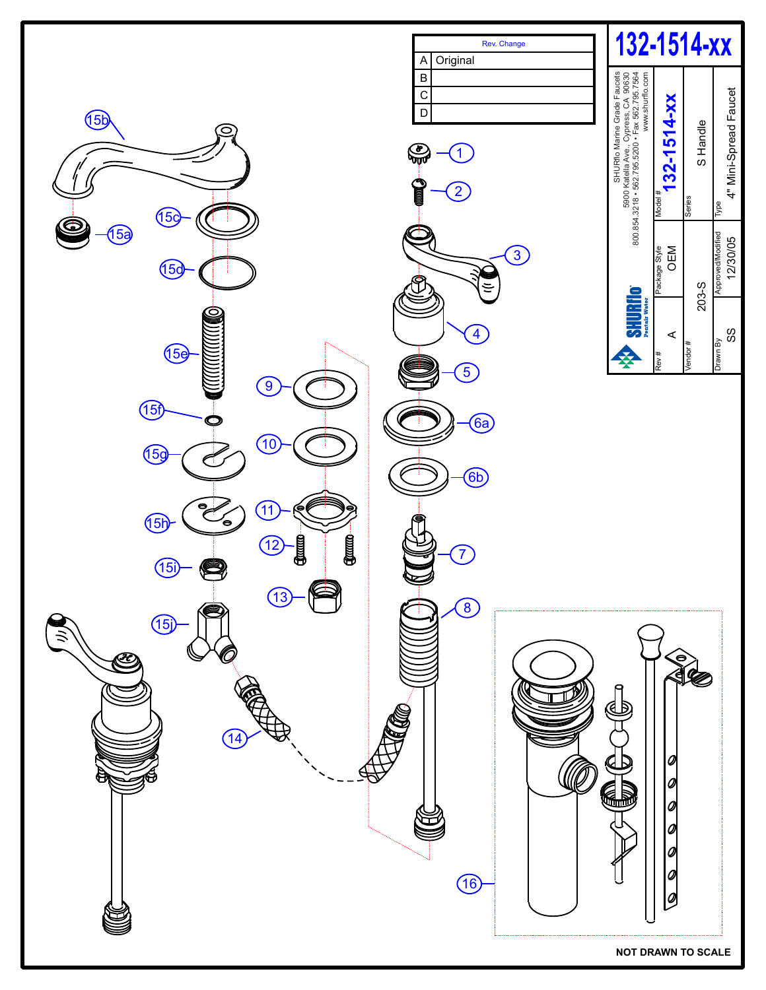